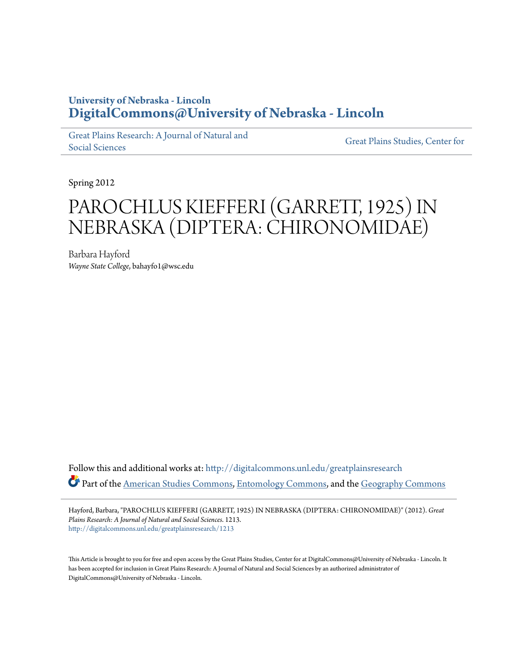## **University of Nebraska - Lincoln [DigitalCommons@University of Nebraska - Lincoln](http://digitalcommons.unl.edu?utm_source=digitalcommons.unl.edu%2Fgreatplainsresearch%2F1213&utm_medium=PDF&utm_campaign=PDFCoverPages)**

[Great Plains Research: A Journal of Natural and](http://digitalcommons.unl.edu/greatplainsresearch?utm_source=digitalcommons.unl.edu%2Fgreatplainsresearch%2F1213&utm_medium=PDF&utm_campaign=PDFCoverPages) [Social Sciences](http://digitalcommons.unl.edu/greatplainsresearch?utm_source=digitalcommons.unl.edu%2Fgreatplainsresearch%2F1213&utm_medium=PDF&utm_campaign=PDFCoverPages)

[Great Plains Studies, Center for](http://digitalcommons.unl.edu/greatplainsstudies?utm_source=digitalcommons.unl.edu%2Fgreatplainsresearch%2F1213&utm_medium=PDF&utm_campaign=PDFCoverPages)

Spring 2012

# PAROCHLUS KIEFFERI (GARRETT, 1925) IN NEBRASKA (DIPTERA: CHIRONOMIDAE)

Barbara Hayford *Wayne State College*, bahayfo1@wsc.edu

Follow this and additional works at: [http://digitalcommons.unl.edu/greatplainsresearch](http://digitalcommons.unl.edu/greatplainsresearch?utm_source=digitalcommons.unl.edu%2Fgreatplainsresearch%2F1213&utm_medium=PDF&utm_campaign=PDFCoverPages) Part of the [American Studies Commons](http://network.bepress.com/hgg/discipline/439?utm_source=digitalcommons.unl.edu%2Fgreatplainsresearch%2F1213&utm_medium=PDF&utm_campaign=PDFCoverPages), [Entomology Commons](http://network.bepress.com/hgg/discipline/83?utm_source=digitalcommons.unl.edu%2Fgreatplainsresearch%2F1213&utm_medium=PDF&utm_campaign=PDFCoverPages), and the [Geography Commons](http://network.bepress.com/hgg/discipline/354?utm_source=digitalcommons.unl.edu%2Fgreatplainsresearch%2F1213&utm_medium=PDF&utm_campaign=PDFCoverPages)

Hayford, Barbara, "PAROCHLUS KIEFFERI (GARRETT, 1925) IN NEBRASKA (DIPTERA: CHIRONOMIDAE)" (2012). *Great Plains Research: A Journal of Natural and Social Sciences*. 1213. [http://digitalcommons.unl.edu/greatplainsresearch/1213](http://digitalcommons.unl.edu/greatplainsresearch/1213?utm_source=digitalcommons.unl.edu%2Fgreatplainsresearch%2F1213&utm_medium=PDF&utm_campaign=PDFCoverPages)

This Article is brought to you for free and open access by the Great Plains Studies, Center for at DigitalCommons@University of Nebraska - Lincoln. It has been accepted for inclusion in Great Plains Research: A Journal of Natural and Social Sciences by an authorized administrator of DigitalCommons@University of Nebraska - Lincoln.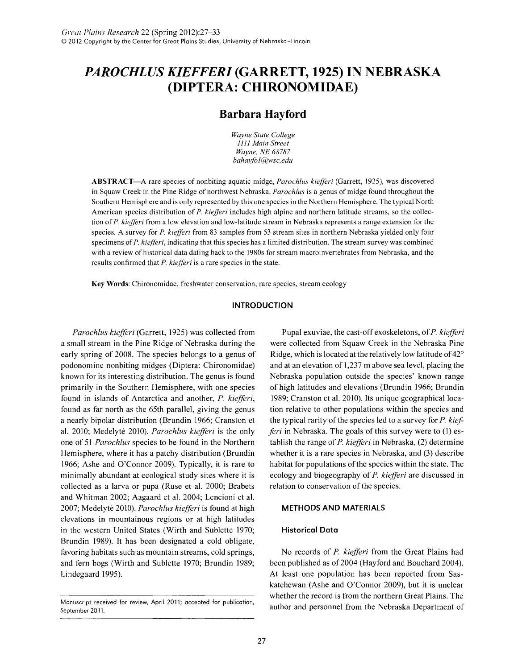## *PAROCHLUS KIEFFERI* **(GARRETT, 1925) IN NEBRASKA (DIPTERA: CHIRONOMIDAE)**

### **Barbara Hayford**

*Wayne State College 1111 Main Street Wayne, NE 68787 bahayfo1@wsc.edu* 

ABSTRACT -A rare species of nonbiting aquatic midge, *Parochlus kiefferi* (Garrett, 1925), was discovered in Squaw Creek in the Pine Ridge of northwest Nebraska. *Parochlus* is a genus of midge found throughout the Southern Hemisphere and is only represented by this one species in the Northern Hemisphere. The typical North American species distribution of P. *kiefferi* includes high alpine and northern latitude streams, so the collection of P. *kiefferi* from a low elevation and low-latitude stream in Nebraska represents a range extension for the species. A survey for P. *kiefferi* from 83 samples from 53 stream sites in northern Nebraska yielded only four specimens of P. *kiefferi,* indicating that this species has a limited distribution. The stream survey was combined with a review of historical data dating back to the 1980s for stream macroinvertebrates from Nebraska, and the results confirmed that P. *kiefferi* is a rare species in the state.

Key Words: Chironomidae, freshwater conservation, rare species, stream ecology

#### **INTRODUCTION**

*Parochlus kiefferi* (Garrett, 1925) was collected from a small stream in the Pine Ridge of Nebraska during the early spring of 2008. The species belongs to a genus of podonomine nonbiting midges (Diptera: Chironomidae) known for its interesting distribution. The genus is found primarily in the Southern Hemisphere, with one species found in islands of Antarctica and another, *P. kiefferi*, found as far north as the 65th parallel, giving the genus a nearly bipolar distribution (Brundin 1966; Cranston et a1. 2010; Medelyte 2010). *Parochlus kiejJeri* is the only one of 51 *Parochlus* species to be found in the Northern Hemisphere, where it has a patchy distribution (Brundin 1966; Ashe and O'Connor 2009). Typically, it is rare to minimally abundant at ecological study sites where it is collected as a larva or pupa (Ruse et a1. 2000; Brabets and Whitman 2002; Aagaard et a1. 2004; Lencioni et a1. 2007; Medelyte 2010). *Parochlus kiejJeri* is found at high elevations in mountainous regions or at high latitudes in the western United States (Wirth and Sublette 1970; Brundin 1989). It has been designated a cold obligate, favoring habitats such as mountain streams, cold springs, and fern bogs (Wirth and Sublette 1970; Brundin 1989; Lindegaard 1995).

Pupal exuviae, the cast-off exoskeletons, of *P. kiefferi* were collected from Squaw Creek in the Nebraska Pine Ridge, which is located at the relatively low latitude of *42°*  and at an elevation of 1,237 m above sea level, placing the Nebraska population outside the species' known range of high latitudes and elevations (Brundin 1966; Brundin 1989; Cranston et al. 2010). Its unique geographical location relative to other populations within the species and the typical rarity of the species led to a survey for *P. kiefferi* in Nebraska. The goals of this survey were to (1) establish the range of *P. kiefferi* in Nebraska, (2) determine whether it is a rare species in Nebraska, and (3) describe habitat for populations of the species within the state. The ecology and biogeography of *P. kiefferi* are discussed in relation to conservation of the species.

#### **METHODS AND MATERIALS**

#### **Historical Data**

No records of *P. kiejJeri* from the Great Plains had been published as of 2004 (Hayford and Bouchard 2004). At least one population has been reported from Saskatchewan (Ashe and O'Connor 2009), but it is unclear whether the record is from the northern Great Plains. The author and personnel from the Nebraska Department of

Manuscript received for review, April 2011; accepted for publication, September 2011.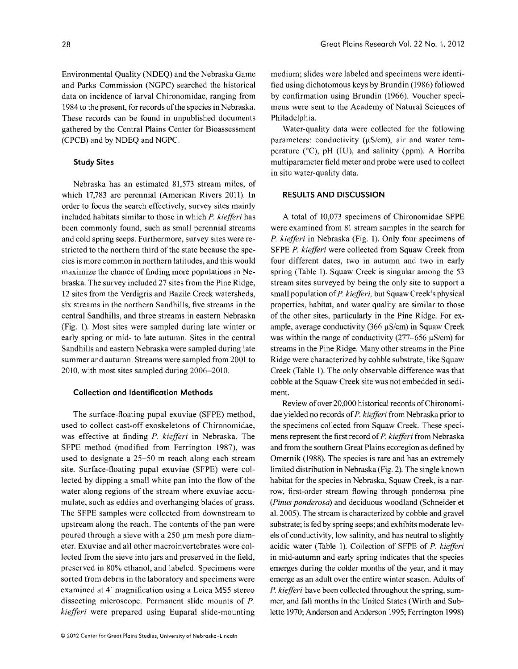Environmental Quality (NDEQ) and the Nebraska Game and Parks Commission (NGPC) searched the historical data on incidence of larval Chironomidae, ranging from 1984 to the present, for records of the species in Nebraska. These records can be found in unpublished documents gathered by the Central Plains Center for Bioassessment (CPCB) and by NDEQ and NGPC.

#### **Study Sites**

Nebraska has an estimated 81,573 stream miles, of which 17,783 are perennial (American Rivers 20ll). In order to focus the search effectively, survey sites mainly included habitats similar to those in which *P. kiefferi* has been commonly found, such as small perennial streams and cold spring seeps. Furthermore, survey sites were restricted to the northern third of the state because the species is more common in northern latitudes, and this would maximize the chance of finding more populations in Nebraska. The survey included 27 sites from the Pine Ridge, 12 sites from the Verdigris and Bazile Creek watersheds, six streams in the northern Sandhills, five streams in the central Sandhills, and three streams in eastern Nebraska (Fig. 1). Most sites were sampled during late winter or early spring or mid- to late autumn. Sites in the central Sandhills and eastern Nebraska were sampled during late summer and autumn. Streams were sampled from 2001 to 2010, with most sites sampled during 2006-2010.

#### **Collection and Identification Methods**

The surface-floating pupal exuviae (SFPE) method, used to collect cast-off exoskeletons of Chironomidae, was effective at finding *P. kiefferi* in Nebraska. The SFPE method (modified from Ferrington 1987), was used to designate a 25-50 m reach along each stream site. Surface-floating pupal exuviae (SFPE) were collected by dipping a small white pan into the flow of the water along regions of the stream where exuviae accumulate, such as eddies and overhanging blades of grass. The SFPE samples were collected from downstream to upstream along the reach. The contents of the pan were poured through a sieve with a  $250 \mu m$  mesh pore diameter. Exuviae and all other macroinvertebrates were collected from the sieve into jars and preserved in the field, preserved in 80% ethanol, and labeled. Specimens were sorted from debris in the laboratory and specimens were examined at 4' magnification using a Leica MS5 stereo dissecting microscope. Permanent slide mounts of *P. kiefferi* were prepared using Euparal slide-mounting medium; slides were labeled and specimens were identified using dichotomous keys by Brundin (1986) followed by confirmation using Brundin (1966). Voucher specimens were sent to the Academy of Natural Sciences of Philadelphia.

Water-quality data were collected for the following parameters: conductivity  $(\mu S/cm)$ , air and water temperature  $(^{\circ}C)$ , pH (IU), and salinity (ppm). A Horriba multiparameter field meter and probe were used to collect in situ water-quality data.

#### **RESULTS AND DISCUSSION**

A total of 10,073 specimens of Chironomidae SFPE were examined from 81 stream samples in the search for *P. kiefferi* in Nebraska (Fig. 1). Only four specimens of SFPE *P. kiefferi* were collected from Squaw Creek from four different dates, two in autumn and two in early spring (Table 1). Squaw Creek is singular among the 53 stream sites surveyed by being the only site to support a small population of *P. kiefferi,* but Squaw Creek's physical properties, habitat, and water quality are similar to those of the other sites, particularly in the Pine Ridge. For example, average conductivity  $(366 \mu S/cm)$  in Squaw Creek was within the range of conductivity (277–656  $\mu$ S/cm) for streams in the Pine Ridge. Many other streams in the Pine Ridge were characterized by cobble substrate, like Squaw Creek (Table 1). The only observable difference was that cobble at the Squaw Creek site was not embedded in sediment.

Review of over 20,000 historical records of Chironomidae yielded no records of *P. kiefferi* from Nebraska prior to the specimens collected from Squaw Creek. These specimens represent the first record of *P. kiefferi* from Nebraska and from the southern Great Plains ecoregion as defined by Omernik (1988). The species is rare and has an extremely limited distribution in Nebraska (Fig. 2). The single known habitat for the species in Nebraska, Squaw Creek, is a narrow, first-order stream flowing through ponderosa pine *(Pinus ponderosa)* and deciduous woodland (Schneider et al. 2005). The stream is characterized by cobble and gravel substrate; is fed by spring seeps; and exhibits moderate levels of conductivity, low salinity, and has neutral to slightly acidic water (Table 1). Collection of SFPE of *P. kiefferi*  in mid-autumn and early spring indicates that the species emerges during the colder months of the year, and it may emerge as an adult over the entire winter season. Adults of *P. kiefferi* have been collected throughout the spring, summer, and fall months in the United States (Wirth and Sublette 1970; Anderson and Anderson 1995; Ferrington 1998)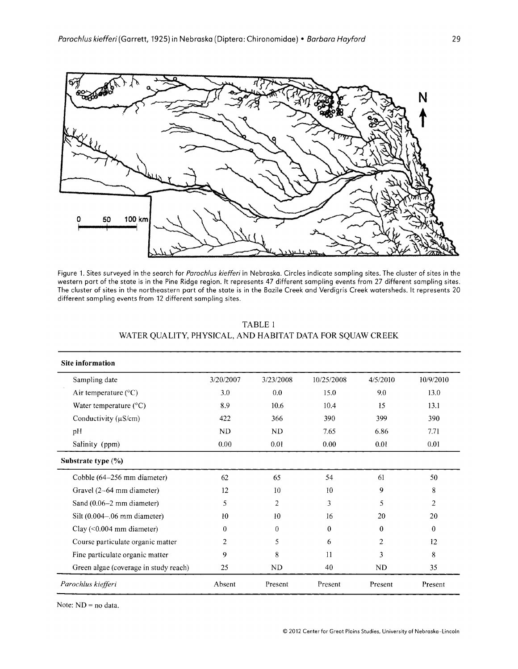

Figure 1. Sites surveyed in the search for *Parochlus kiefferi* in Nebraska. Circles indicate sampling sites. The cluster of sites in the western part of the state is in the Pine Ridge region. It represents 47 different sampling events from 27 different sampling sites. The cluster of sites in the northeastern part of the state is in the Bazile Creek and Verdigris Creek watersheds. It represents 20 different sampling events from 12 different sampling sites.

| <b>Site information</b>               |           |           |            |           |                |
|---------------------------------------|-----------|-----------|------------|-----------|----------------|
| Sampling date                         | 3/20/2007 | 3/23/2008 | 10/25/2008 | 4/5/2010  | 10/9/2010      |
| Air temperature $(^{\circ}C)$         | 3.0       | 0.0       | 15.0       | 9.0       | 13.0           |
| Water temperature $(^{\circ}C)$       | 8.9       | 10.6      | 10.4       | 15        | 13.1           |
| Conductivity $(\mu S/cm)$             | 422       | 366       | 390        | 399       | 390            |
| pH                                    | ND        | <b>ND</b> | 7.65       | 6.86      | 7.71           |
| Salinity (ppm)                        | 0.00      | 0.01      | 0.00       | 0.01      | 0.01           |
| Substrate type (%)                    |           |           |            |           |                |
| Cobble (64–256 mm diameter)           | 62        | 65        | 54         | 61        | 50             |
| Gravel (2-64 mm diameter)             | 12        | 10        | 10         | 9         | 8              |
| Sand $(0.06-2$ mm diameter)           | 5         | 2         | 3          | 5         | $\overline{2}$ |
| Silt $(0.004-0.06$ mm diameter)       | 10        | 10        | 16         | 20        | 20             |
| $Clay (<0.004$ mm diameter)           | $\Omega$  | $\theta$  | $\bf{0}$   | $\Omega$  | $\bf{0}$       |
| Course particulate organic matter     | 2         | 5         | 6          | 2         | 12             |
| Fine particulate organic matter       | 9         | 8         | 11         | 3         | 8              |
| Green algae (coverage in study reach) | 25        | ND        | 40         | <b>ND</b> | 35             |
| Parochlus kiefferi                    | Absent    | Present   | Present    | Present   | Present        |

TABLE 1 WATER QUALITY, PHYSICAL, AND HABITAT DATA FOR SQUAW CREEK

Note: ND = no data.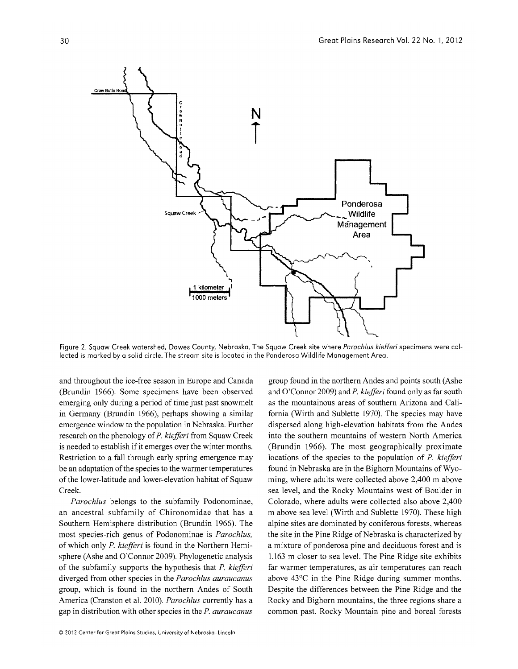

Figure 2. Squaw Creek watershed, Dawes County, Nebraska. The Squaw Creek site where *Parochlus kiefferi* specimens were collected is marked by a solid circle. The stream site is located in the Ponderosa Wildlife Management Area.

and throughout the ice-free season in Europe and Canada (Brundin 1966). Some specimens have been observed emerging only during a period of time just past snowmelt in Germany (Brundin 1966), perhaps showing a similar emergence window to the population in Nebraska. Further research on the phenology of *P. kiefferi* from Squaw Creek is needed to establish if it emerges over the winter months. Restriction to a fall through early spring emergence may be an adaptation of the species to the warmer temperatures of the lower-latitude and lower-elevation habitat of Squaw Creek.

*Parochlus* belongs to the subfamily Podonominae, an ancestral subfamily of Chironomidae that has a Southern Hemisphere distribution (Brundin 1966). The most species-rich genus of Podonominae is *Parochlus,*  of which only *P. kiefferi* is found in the Northern Hemisphere (Ashe and O'Connor 2009). Phylogenetic analysis of the subfamily supports the hypothesis that *P. kiefferi*  diverged from other species in the *Parochlus auraucanus*  group, which is found in the northern Andes of South America (Cranston et al. 2010). *Parochlus* currently has a gap in distribution with other species in the *P. auraucanus* 

group found in the northern Andes and points south (Ashe and O'Connor 2009) and *P. kiefferi* found only as far south as the mountainous areas of southern Arizona and California (Wirth and Sublette 1970). The species may have dispersed along high-elevation habitats from the Andes into the southern mountains of western North America (Brundin 1966). The most geographically proximate locations of the species to the population of *P. kiefferi*  found in Nebraska are in the Bighorn Mountains of Wyoming, where adults were collected above 2,400 m above sea level, and the Rocky Mountains west of Boulder in Colorado, where adults were collected also above 2,400 m above sea level (Wirth and Sublette 1970). These high alpine sites are dominated by coniferous forests, whereas the site in the Pine Ridge of Nebraska is characterized by a mixture of ponderosa pine and deciduous forest and is **1,163** m closer to sea level. The Pine Ridge site exhibits far warmer temperatures, as air temperatures can reach above 43°C in the Pine Ridge during summer months. Despite the differences between the Pine Ridge and the Rocky and Bighorn mountains, the three regions share a common past. Rocky Mountain pine and boreal forests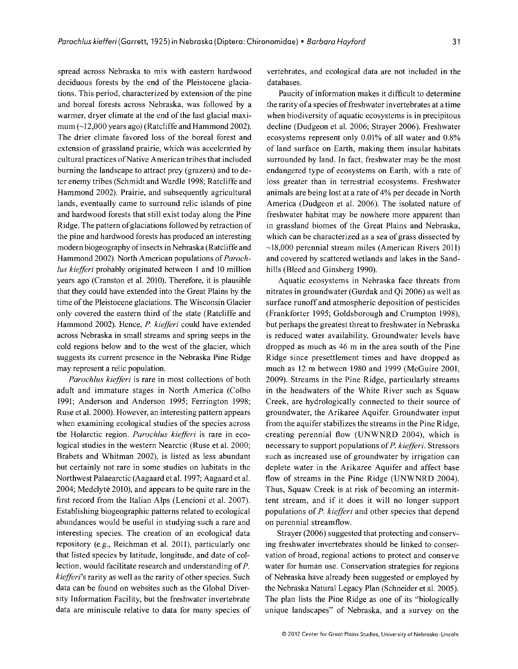spread across Nebraska to mix with eastern hardwood deciduous forests by the end of the Pleistocene glaciations. This period, characterized by extension of the pine and boreal forests across Nebraska, was followed by a warmer, dryer climate at the end of the last glacial maximum (~12 ,000 years ago) (Ratcliffe and Hammond 2002). The drier climate favored loss of the boreal forest and extension of grassland prairie, which was accelerated by cultural practices of Native American tribes that included burning the landscape to attract prey (grazers) and to deter enemy tribes (Schmidt and Wardle 1998; Ratcliffe and Hammond 2002). Prairie, and subsequently agricultural lands, eventually came to surround relic islands of pine and hardwood forests that still exist today along the Pine Ridge. The pattern of glaciations followed by retraction of the pine and hardwood forests has produced an interesting modern biogeography of insects in Nebraska (Ratcliffe and Hammond 2002). North American populations of *Paroch-Ius kiefferi* probably originated between 1 and 10 million years ago (Cranston et al. 2010). Therefore, it is plausible that they could have extended into the Great Plains by the time of the Pleistocene glaciations. The Wisconsin Glacier only covered the eastern third of the state (Ratcliffe and Hammond 2002). Hence, *P. kiefferi* could have extended across Nebraska in small streams and spring seeps in the cold regions below and to the west of the glacier, which suggests its current presence in the Nebraska Pine Ridge may represent a relic population.

*Parochius kiefferi* is rare in most collections of both adult and immature stages in North America (Colbo 1991; Anderson and Anderson 1995; Ferrington 1998; Ruse et al. 2000). However, an interesting pattern appears when examining ecological studies of the species across the Holarctic region. *Parochius kiefferi* is rare in ecological studies in the western Nearctic (Ruse et al. 2000; Brabets and Whitman 2002), is listed as less abundant but certainly not rare in some studies on habitats in the Northwest Palaearctic (Aagaard et al. 1997; Aagaard et al. 2004; Medelyte 2010), and appears to be quite rare in the first record from the Italian Alps (Lencioni et al. 2007). Establishing biogeographic patterns related to ecological abundances would be useful in studying such a rare and interesting species. The creation of an ecological data repository (e.g., Reichman et al. 2011), particularly one that listed species by latitude, longitude, and date of collection, would facilitate research and understanding of *P. kiefferi's* rarity as well as the rarity of other species. Such data can be found on websites such as the Global Diversity Information Facility, but the freshwater invertebrate data are miniscule relative to data for many species of

vertebrates, and ecological data are not included in the databases.

Paucity of information makes it difficult to determine the rarity of a species of freshwater invertebrates at a time when biodiversity of aquatic ecosystems is in precipitous decline (Dudgeon et al. 2006; Strayer 2006). Freshwater ecosystems represent only 0.01% of all water and 0.8% of land surface on Earth, making them insular habitats surrounded by land. In fact, freshwater may be the most endangered type of ecosystems on Earth, with a rate of loss greater than in terrestrial ecosystems. Freshwater animals are being lost at a rate of 4% per decade in North America (Dudgeon et al. 2006). The isolated nature of freshwater habitat may be nowhere more apparent than in grassland biomes of the Great Plains and Nebraska, which can be characterized as a sea of grass dissected by  $\sim$ 18,000 perennial stream miles (American Rivers 2011) and covered by scattered wetlands and lakes in the Sandhills (Bleed and Ginsberg 1990).

Aquatic ecosystems in Nebraska face threats from nitrates in groundwater (Gurdak and Qi 2006) as well as surface runoff and atmospheric deposition of pesticides (Frankforter 1995; Goldsborough and Crumpton 1998), but perhaps the greatest threat to freshwater in Nebraska is reduced water availability. Groundwater levels have dropped as much as 46 m in the area south of the Pine Ridge since presettlement times and have dropped as much as 12 m between 1980 and 1999 (McGuire 2001, 2009). Streams in the Pine Ridge, particularly streams in the headwaters of the White River such as Squaw Creek, are hydrologically connected to their source of groundwater, the Arikaree Aquifer. Groundwater input from the aquifer stabilizes the streams in the Pine Ridge, creating perennial flow (UNWNRD 2004), which is necessary to support populations of *P. kiefferi.* Stressors such as increased use of groundwater by irrigation can deplete water in the Arikaree Aquifer and affect base flow of streams in the Pine Ridge (UNWNRD 2004). Thus, Squaw Creek is at risk of becoming an intermittent stream, and if it does it will no longer support populations of *P. kiefferi* and other species that depend on perennial streamflow.

Strayer (2006) suggested that protecting and conserving freshwater invertebrates should be linked to conservation of broad, regional actions to protect and conserve water for human use. Conservation strategies for regions of Nebraska have already been suggested or employed by the Nebraska Natural Legacy Plan (Schneider et al. 2005). The plan lists the Pine Ridge as one of its "biologically unique landscapes" of Nebraska, and a survey on the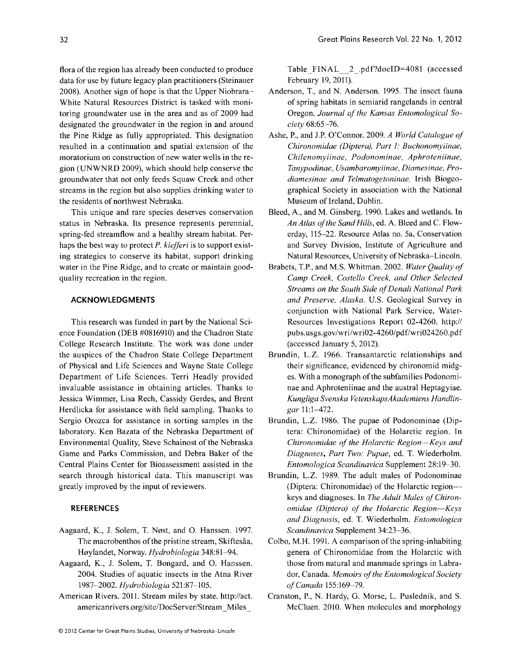flora of the region has already been conducted to produce data for use by future legacy plan practitioners (Steinauer 2008). Another sign of hope is that the Upper Niobrara-White Natural Resources District is tasked with monitoring groundwater use in the area and as of 2009 had designated the groundwater in the region in and around the Pine Ridge as fully appropriated. This designation resulted in a continuation and spatial extension of the moratorium on construction of new water wells in the region (UNWNRD 2009), which should help conserve the groundwater that not only feeds Squaw Creek and other streams in the region but also supplies drinking water to the residents of northwest Nebraska.

This unique and rare species deserves conservation status in Nebraska. Its presence represents perennial, spring-fed streamflow and a healthy stream habitat. Perhaps the best way to protect *P. kiejferi* is to support existing strategies to conserve its habitat, support drinking water in the Pine Ridge, and to create or maintain goodquality recreation in the region.

#### **ACKNOWLEDGMENTS**

This research was funded in part by the National Science Foundation (DEB #0816910) and the Chadron State College Research Institute. The work was done under the auspices of the Chadron State College Department of Physical and Life Sciences and Wayne State College Department of Life Sciences. Terri Headly provided invaluable assistance in obtaining articles. Thanks to Jessica Wimmer, Lisa Rech, Cassidy Gerdes, and Brent Herdlicka for assistance with field sampling. Thanks to Sergio Orozca for assistance in sorting samples in the laboratory. Ken Bazata of the Nebraska Department of Environmental Quality, Steve Schainost of the Nebraska Game and Parks Commission, and Debra Baker of the Central Plains Center for Bioassessment assisted in the search through historical data. This manuscript was greatly improved by the input of reviewers.

#### **REFERENCES**

- Aagaard, K., J. Solem, T. Nøst, and O. Hanssen. 1997. The macrobenthos of the pristine stream, Skiftesåa, H0ylandet, Norway. *Hydrobiologia 348:81-94.*
- Aagaard, K., J. Solem, T. Bongard, and O. Hanssen. 2004. Studies of aquatic insects in the Atna River *1987-2002. Hydrobiologia 521:87-105.*
- American Rivers. 20ll. Stream miles by state. http://act. americanrivers.org/site/DocServer/Stream\_Miles\_

Table  $FINAL \quad 2 \quad pdf?doclD=4081$  (accessed February 19,2011).

- Anderson, T., and N. Anderson. 1995. The insect fauna of spring habitats in semiarid rangelands in central Oregon. *Journal of the Kansas Entomological Society 68:65-76.*
- Ashe, P., and J.P. O'Connor. 2009. *A World Catalogue of Chironomidae (Diptera), Part* 1: *Buchonomyiinae, Chilenomyiinae, Podonominae, Aphroteniinae, Tanypodinae, Usambaromyiinae, Diamesinae, Prodiamesinae and Telmatogetoninae.* Irish Biogeographical Society in association with the National Museum of Ireland, Dublin.
- Bleed, A., and M. Ginsberg. 1990. Lakes and wetlands. In *An Atlas of the Sand Hills,* ed. A. Bleed and C. Flowerday, 115-22. Resource Atlas no. 5a, Conservation and Survey Division, Institute of Agriculture and Natural Resources, University of Nebraska-Lincoln.
- Brabets, TP., and M.S. Whitman. 2002. *Water Quality of Camp Creek, Costello Creek, and Other Selected Streams on the South Side of Denali National Park and Preserve, Alaska.* U.S. Geological Survey in conjunction with National Park Service, Water-Resources Investigations Report 02-4260. http:// pubs.usgs.gov/wrilwri02-4260/pdf/wri024260.pdf (accessed January 5, 2012).
- Brundin, L.Z. 1966. Transantarctic relationships and their significance, evidenced by chironomid midges. With a monograph of the subfamilies Podonominae and Aphroteniinae and the austral Heptagyiae. *Kungliga Svenska VetenskapsAkademiens Handlingar* U:1-472.
- Brundin, L.Z. 1986. The pupae of Podonominae (Diptera: Chironomidae) of the Holarctic region. In *Chironomidae of the Holarctic Region-Keys and*  Diagnoses, Part Two: Pupae, ed. T. Wiederholm. *Entomologica Scandinavica* Supplement 28: 19-30.
- Brundin, L.Z. 1989. The adult males of Podonominae (Diptera: Chironomidae) of the Holarctic regionkeys and diagnoses. In *The Adult Males of Chironomidae (Diptera) of the Holarctic Region-Keys and Diagnosis,* ed. T. Wiederholm. *Entomologica Scandinavica* Supplement 34:23-36.
- Colbo, M.H. 1991. A comparison of the spring-inhabiting genera of Chironomidae from the Holarctic with those from natural and manmade springs in Labrador, Canada. *Memoirs of the Entomological Society of Canada* 155:169-79.
- Cranston, P., N. Hardy, G. Morse, L. Puslednik, and S. McCluen. 2010. When molecules and morphology